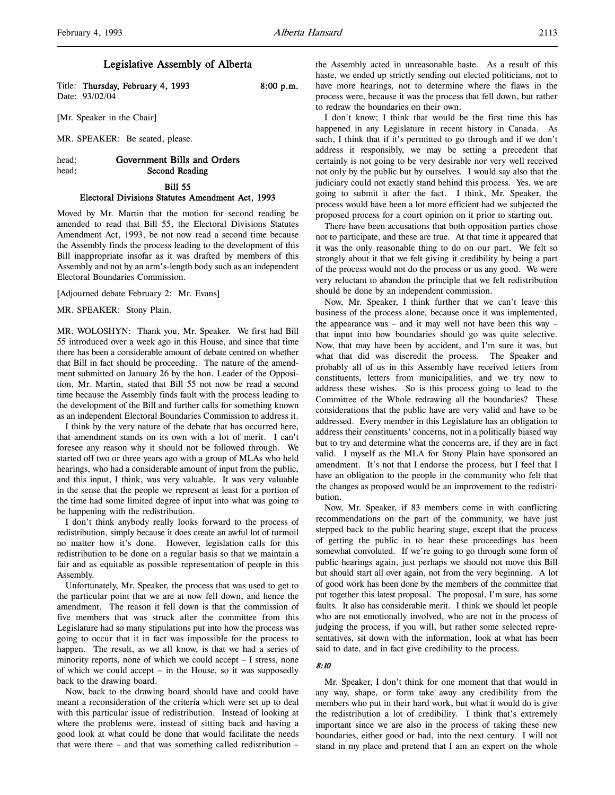l,

# Legislative Assembly of Alberta

Title: Thursday, February 4, 1993 8:00 p.m. Date: 93/02/04

[Mr. Speaker in the Chair]

MR. SPEAKER: Be seated, please.

# head: Government Bills and Orders head: Second Reading

# Bill 55 Electoral Divisions Statutes Amendment Act, 1993

Moved by Mr. Martin that the motion for second reading be amended to read that Bill 55, the Electoral Divisions Statutes Amendment Act, 1993, be not now read a second time because the Assembly finds the process leading to the development of this Bill inappropriate insofar as it was drafted by members of this Assembly and not by an arm's-length body such as an independent Electoral Boundaries Commission.

[Adjourned debate February 2: Mr. Evans]

MR. SPEAKER: Stony Plain.

MR. WOLOSHYN: Thank you, Mr. Speaker. We first had Bill 55 introduced over a week ago in this House, and since that time there has been a considerable amount of debate centred on whether that Bill in fact should be proceeding. The nature of the amendment submitted on January 26 by the hon. Leader of the Opposition, Mr. Martin, stated that Bill 55 not now be read a second time because the Assembly finds fault with the process leading to the development of the Bill and further calls for something known as an independent Electoral Boundaries Commission to address it.

I think by the very nature of the debate that has occurred here, that amendment stands on its own with a lot of merit. I can't foresee any reason why it should not be followed through. We started off two or three years ago with a group of MLAs who held hearings, who had a considerable amount of input from the public, and this input, I think, was very valuable. It was very valuable in the sense that the people we represent at least for a portion of the time had some limited degree of input into what was going to be happening with the redistribution.

I don't think anybody really looks forward to the process of redistribution, simply because it does create an awful lot of turmoil no matter how it's done. However, legislation calls for this redistribution to be done on a regular basis so that we maintain a fair and as equitable as possible representation of people in this Assembly.

Unfortunately, Mr. Speaker, the process that was used to get to the particular point that we are at now fell down, and hence the amendment. The reason it fell down is that the commission of five members that was struck after the committee from this Legislature had so many stipulations put into how the process was going to occur that it in fact was impossible for the process to happen. The result, as we all know, is that we had a series of minority reports, none of which we could accept – I stress, none of which we could accept – in the House, so it was supposedly back to the drawing board.

Now, back to the drawing board should have and could have meant a reconsideration of the criteria which were set up to deal with this particular issue of redistribution. Instead of looking at where the problems were, instead of sitting back and having a good look at what could be done that would facilitate the needs that were there – and that was something called redistribution –

the Assembly acted in unreasonable haste. As a result of this haste, we ended up strictly sending out elected politicians, not to have more hearings, not to determine where the flaws in the process were, because it was the process that fell down, but rather to redraw the boundaries on their own.

I don't know; I think that would be the first time this has happened in any Legislature in recent history in Canada. As such, I think that if it's permitted to go through and if we don't address it responsibly, we may be setting a precedent that certainly is not going to be very desirable nor very well received not only by the public but by ourselves. I would say also that the judiciary could not exactly stand behind this process. Yes, we are going to submit it after the fact. I think, Mr. Speaker, the process would have been a lot more efficient had we subjected the proposed process for a court opinion on it prior to starting out.

There have been accusations that both opposition parties chose not to participate, and these are true. At that time it appeared that it was the only reasonable thing to do on our part. We felt so strongly about it that we felt giving it credibility by being a part of the process would not do the process or us any good. We were very reluctant to abandon the principle that we felt redistribution should be done by an independent commission.

Now, Mr. Speaker, I think further that we can't leave this business of the process alone, because once it was implemented, the appearance was – and it may well not have been this way – that input into how boundaries should go was quite selective. Now, that may have been by accident, and I'm sure it was, but what that did was discredit the process. The Speaker and probably all of us in this Assembly have received letters from constituents, letters from municipalities, and we try now to address these wishes. So is this process going to lead to the Committee of the Whole redrawing all the boundaries? These considerations that the public have are very valid and have to be addressed. Every member in this Legislature has an obligation to address their constituents' concerns, not in a politically biased way but to try and determine what the concerns are, if they are in fact valid. I myself as the MLA for Stony Plain have sponsored an amendment. It's not that I endorse the process, but I feel that I have an obligation to the people in the community who felt that the changes as proposed would be an improvement to the redistribution.

Now, Mr. Speaker, if 83 members come in with conflicting recommendations on the part of the community, we have just stepped back to the public hearing stage, except that the process of getting the public in to hear these proceedings has been somewhat convoluted. If we're going to go through some form of public hearings again, just perhaps we should not move this Bill but should start all over again, not from the very beginning. A lot of good work has been done by the members of the committee that put together this latest proposal. The proposal, I'm sure, has some faults. It also has considerable merit. I think we should let people who are not emotionally involved, who are not in the process of judging the process, if you will, but rather some selected representatives, sit down with the information, look at what has been said to date, and in fact give credibility to the process.

## 8:10

Mr. Speaker, I don't think for one moment that that would in any way, shape, or form take away any credibility from the members who put in their hard work, but what it would do is give the redistribution a lot of credibility. I think that's extremely important since we are also in the process of taking these new boundaries, either good or bad, into the next century. I will not stand in my place and pretend that I am an expert on the whole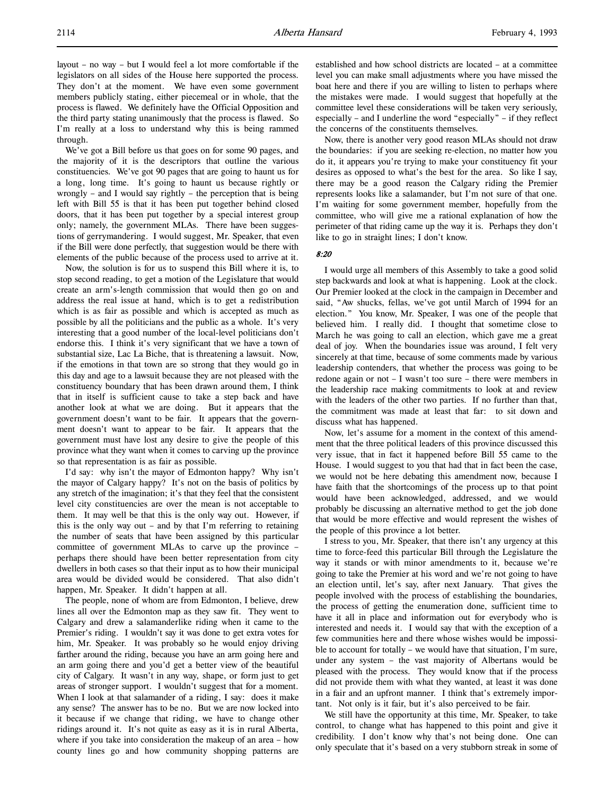layout – no way – but I would feel a lot more comfortable if the legislators on all sides of the House here supported the process. They don't at the moment. We have even some government members publicly stating, either piecemeal or in whole, that the process is flawed. We definitely have the Official Opposition and the third party stating unanimously that the process is flawed. So I'm really at a loss to understand why this is being rammed through.

We've got a Bill before us that goes on for some 90 pages, and the majority of it is the descriptors that outline the various constituencies. We've got 90 pages that are going to haunt us for a long, long time. It's going to haunt us because rightly or wrongly – and I would say rightly – the perception that is being left with Bill 55 is that it has been put together behind closed doors, that it has been put together by a special interest group only; namely, the government MLAs. There have been suggestions of gerrymandering. I would suggest, Mr. Speaker, that even if the Bill were done perfectly, that suggestion would be there with elements of the public because of the process used to arrive at it.

Now, the solution is for us to suspend this Bill where it is, to stop second reading, to get a motion of the Legislature that would create an arm's-length commission that would then go on and address the real issue at hand, which is to get a redistribution which is as fair as possible and which is accepted as much as possible by all the politicians and the public as a whole. It's very interesting that a good number of the local-level politicians don't endorse this. I think it's very significant that we have a town of substantial size, Lac La Biche, that is threatening a lawsuit. Now, if the emotions in that town are so strong that they would go in this day and age to a lawsuit because they are not pleased with the constituency boundary that has been drawn around them, I think that in itself is sufficient cause to take a step back and have another look at what we are doing. But it appears that the government doesn't want to be fair. It appears that the government doesn't want to appear to be fair. It appears that the government must have lost any desire to give the people of this province what they want when it comes to carving up the province so that representation is as fair as possible.

I'd say: why isn't the mayor of Edmonton happy? Why isn't the mayor of Calgary happy? It's not on the basis of politics by any stretch of the imagination; it's that they feel that the consistent level city constituencies are over the mean is not acceptable to them. It may well be that this is the only way out. However, if this is the only way out – and by that I'm referring to retaining the number of seats that have been assigned by this particular committee of government MLAs to carve up the province – perhaps there should have been better representation from city dwellers in both cases so that their input as to how their municipal area would be divided would be considered. That also didn't happen, Mr. Speaker. It didn't happen at all.

The people, none of whom are from Edmonton, I believe, drew lines all over the Edmonton map as they saw fit. They went to Calgary and drew a salamanderlike riding when it came to the Premier's riding. I wouldn't say it was done to get extra votes for him, Mr. Speaker. It was probably so he would enjoy driving farther around the riding, because you have an arm going here and an arm going there and you'd get a better view of the beautiful city of Calgary. It wasn't in any way, shape, or form just to get areas of stronger support. I wouldn't suggest that for a moment. When I look at that salamander of a riding, I say: does it make any sense? The answer has to be no. But we are now locked into it because if we change that riding, we have to change other ridings around it. It's not quite as easy as it is in rural Alberta, where if you take into consideration the makeup of an area – how county lines go and how community shopping patterns are

established and how school districts are located – at a committee level you can make small adjustments where you have missed the boat here and there if you are willing to listen to perhaps where the mistakes were made. I would suggest that hopefully at the committee level these considerations will be taken very seriously, especially – and I underline the word "especially" – if they reflect the concerns of the constituents themselves.

Now, there is another very good reason MLAs should not draw the boundaries: if you are seeking re-election, no matter how you do it, it appears you're trying to make your constituency fit your desires as opposed to what's the best for the area. So like I say, there may be a good reason the Calgary riding the Premier represents looks like a salamander, but I'm not sure of that one. I'm waiting for some government member, hopefully from the committee, who will give me a rational explanation of how the perimeter of that riding came up the way it is. Perhaps they don't like to go in straight lines; I don't know.

### 8:20

I would urge all members of this Assembly to take a good solid step backwards and look at what is happening. Look at the clock. Our Premier looked at the clock in the campaign in December and said, "Aw shucks, fellas, we've got until March of 1994 for an election." You know, Mr. Speaker, I was one of the people that believed him. I really did. I thought that sometime close to March he was going to call an election, which gave me a great deal of joy. When the boundaries issue was around, I felt very sincerely at that time, because of some comments made by various leadership contenders, that whether the process was going to be redone again or not – I wasn't too sure – there were members in the leadership race making commitments to look at and review with the leaders of the other two parties. If no further than that, the commitment was made at least that far: to sit down and discuss what has happened.

Now, let's assume for a moment in the context of this amendment that the three political leaders of this province discussed this very issue, that in fact it happened before Bill 55 came to the House. I would suggest to you that had that in fact been the case, we would not be here debating this amendment now, because I have faith that the shortcomings of the process up to that point would have been acknowledged, addressed, and we would probably be discussing an alternative method to get the job done that would be more effective and would represent the wishes of the people of this province a lot better.

I stress to you, Mr. Speaker, that there isn't any urgency at this time to force-feed this particular Bill through the Legislature the way it stands or with minor amendments to it, because we're going to take the Premier at his word and we're not going to have an election until, let's say, after next January. That gives the people involved with the process of establishing the boundaries, the process of getting the enumeration done, sufficient time to have it all in place and information out for everybody who is interested and needs it. I would say that with the exception of a few communities here and there whose wishes would be impossible to account for totally – we would have that situation, I'm sure, under any system – the vast majority of Albertans would be pleased with the process. They would know that if the process did not provide them with what they wanted, at least it was done in a fair and an upfront manner. I think that's extremely important. Not only is it fair, but it's also perceived to be fair.

We still have the opportunity at this time, Mr. Speaker, to take control, to change what has happened to this point and give it credibility. I don't know why that's not being done. One can only speculate that it's based on a very stubborn streak in some of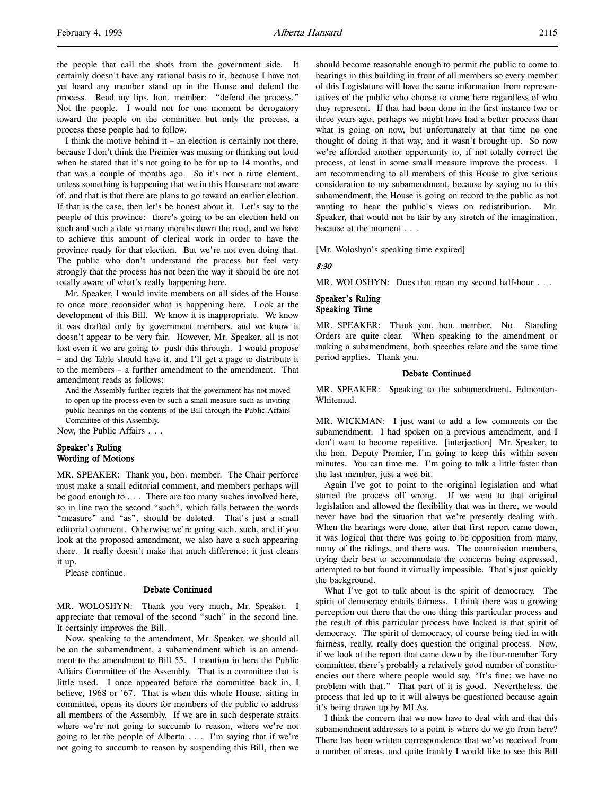l,

the people that call the shots from the government side. It certainly doesn't have any rational basis to it, because I have not yet heard any member stand up in the House and defend the process. Read my lips, hon. member: "defend the process." Not the people. I would not for one moment be derogatory toward the people on the committee but only the process, a process these people had to follow.

I think the motive behind it – an election is certainly not there, because I don't think the Premier was musing or thinking out loud when he stated that it's not going to be for up to 14 months, and that was a couple of months ago. So it's not a time element, unless something is happening that we in this House are not aware of, and that is that there are plans to go toward an earlier election. If that is the case, then let's be honest about it. Let's say to the people of this province: there's going to be an election held on such and such a date so many months down the road, and we have to achieve this amount of clerical work in order to have the province ready for that election. But we're not even doing that. The public who don't understand the process but feel very strongly that the process has not been the way it should be are not totally aware of what's really happening here.

Mr. Speaker, I would invite members on all sides of the House to once more reconsider what is happening here. Look at the development of this Bill. We know it is inappropriate. We know it was drafted only by government members, and we know it doesn't appear to be very fair. However, Mr. Speaker, all is not lost even if we are going to push this through. I would propose – and the Table should have it, and I'll get a page to distribute it to the members – a further amendment to the amendment. That amendment reads as follows:

And the Assembly further regrets that the government has not moved to open up the process even by such a small measure such as inviting public hearings on the contents of the Bill through the Public Affairs Committee of this Assembly.

Now, the Public Affairs . . .

# Speaker's Ruling Wording of Motions

MR. SPEAKER: Thank you, hon. member. The Chair perforce must make a small editorial comment, and members perhaps will be good enough to . . . There are too many suches involved here, so in line two the second "such", which falls between the words "measure" and "as", should be deleted. That's just a small editorial comment. Otherwise we're going such, such, and if you look at the proposed amendment, we also have a such appearing there. It really doesn't make that much difference; it just cleans it up.

Please continue.

#### Debate Continued

MR. WOLOSHYN: Thank you very much, Mr. Speaker. I appreciate that removal of the second "such" in the second line. It certainly improves the Bill.

Now, speaking to the amendment, Mr. Speaker, we should all be on the subamendment, a subamendment which is an amendment to the amendment to Bill 55. I mention in here the Public Affairs Committee of the Assembly. That is a committee that is little used. I once appeared before the committee back in, I believe, 1968 or '67. That is when this whole House, sitting in committee, opens its doors for members of the public to address all members of the Assembly. If we are in such desperate straits where we're not going to succumb to reason, where we're not going to let the people of Alberta . . . I'm saying that if we're not going to succumb to reason by suspending this Bill, then we

should become reasonable enough to permit the public to come to hearings in this building in front of all members so every member of this Legislature will have the same information from representatives of the public who choose to come here regardless of who they represent. If that had been done in the first instance two or three years ago, perhaps we might have had a better process than what is going on now, but unfortunately at that time no one thought of doing it that way, and it wasn't brought up. So now we're afforded another opportunity to, if not totally correct the process, at least in some small measure improve the process. I am recommending to all members of this House to give serious consideration to my subamendment, because by saying no to this subamendment, the House is going on record to the public as not wanting to hear the public's views on redistribution. Mr. Speaker, that would not be fair by any stretch of the imagination, because at the moment . . .

[Mr. Woloshyn's speaking time expired]

#### 8:30

MR. WOLOSHYN: Does that mean my second half-hour . . .

## Speaker's Ruling Speaking Time

MR. SPEAKER: Thank you, hon. member. No. Standing Orders are quite clear. When speaking to the amendment or making a subamendment, both speeches relate and the same time period applies. Thank you.

#### Debate Continued

MR. SPEAKER: Speaking to the subamendment, Edmonton-Whitemud.

MR. WICKMAN: I just want to add a few comments on the subamendment. I had spoken on a previous amendment, and I don't want to become repetitive. [interjection] Mr. Speaker, to the hon. Deputy Premier, I'm going to keep this within seven minutes. You can time me. I'm going to talk a little faster than the last member, just a wee bit.

Again I've got to point to the original legislation and what started the process off wrong. If we went to that original legislation and allowed the flexibility that was in there, we would never have had the situation that we're presently dealing with. When the hearings were done, after that first report came down, it was logical that there was going to be opposition from many, many of the ridings, and there was. The commission members, trying their best to accommodate the concerns being expressed, attempted to but found it virtually impossible. That's just quickly the background.

What I've got to talk about is the spirit of democracy. The spirit of democracy entails fairness. I think there was a growing perception out there that the one thing this particular process and the result of this particular process have lacked is that spirit of democracy. The spirit of democracy, of course being tied in with fairness, really, really does question the original process. Now, if we look at the report that came down by the four-member Tory committee, there's probably a relatively good number of constituencies out there where people would say, "It's fine; we have no problem with that." That part of it is good. Nevertheless, the process that led up to it will always be questioned because again it's being drawn up by MLAs.

I think the concern that we now have to deal with and that this subamendment addresses to a point is where do we go from here? There has been written correspondence that we've received from a number of areas, and quite frankly I would like to see this Bill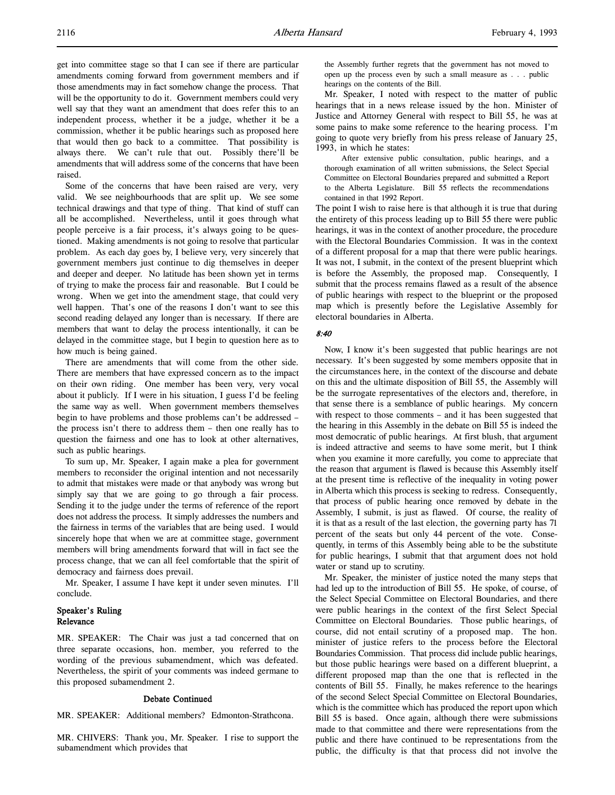get into committee stage so that I can see if there are particular amendments coming forward from government members and if those amendments may in fact somehow change the process. That will be the opportunity to do it. Government members could very well say that they want an amendment that does refer this to an independent process, whether it be a judge, whether it be a commission, whether it be public hearings such as proposed here that would then go back to a committee. That possibility is always there. We can't rule that out. Possibly there'll be amendments that will address some of the concerns that have been raised.

Some of the concerns that have been raised are very, very valid. We see neighbourhoods that are split up. We see some technical drawings and that type of thing. That kind of stuff can all be accomplished. Nevertheless, until it goes through what people perceive is a fair process, it's always going to be questioned. Making amendments is not going to resolve that particular problem. As each day goes by, I believe very, very sincerely that government members just continue to dig themselves in deeper and deeper and deeper. No latitude has been shown yet in terms of trying to make the process fair and reasonable. But I could be wrong. When we get into the amendment stage, that could very well happen. That's one of the reasons I don't want to see this second reading delayed any longer than is necessary. If there are members that want to delay the process intentionally, it can be delayed in the committee stage, but I begin to question here as to how much is being gained.

There are amendments that will come from the other side. There are members that have expressed concern as to the impact on their own riding. One member has been very, very vocal about it publicly. If I were in his situation, I guess I'd be feeling the same way as well. When government members themselves begin to have problems and those problems can't be addressed – the process isn't there to address them – then one really has to question the fairness and one has to look at other alternatives, such as public hearings.

To sum up, Mr. Speaker, I again make a plea for government members to reconsider the original intention and not necessarily to admit that mistakes were made or that anybody was wrong but simply say that we are going to go through a fair process. Sending it to the judge under the terms of reference of the report does not address the process. It simply addresses the numbers and the fairness in terms of the variables that are being used. I would sincerely hope that when we are at committee stage, government members will bring amendments forward that will in fact see the process change, that we can all feel comfortable that the spirit of democracy and fairness does prevail.

Mr. Speaker, I assume I have kept it under seven minutes. I'll conclude.

# Speaker's Ruling Relevance

MR. SPEAKER: The Chair was just a tad concerned that on three separate occasions, hon. member, you referred to the wording of the previous subamendment, which was defeated. Nevertheless, the spirit of your comments was indeed germane to this proposed subamendment 2.

#### Debate Continued

MR. SPEAKER: Additional members? Edmonton-Strathcona.

MR. CHIVERS: Thank you, Mr. Speaker. I rise to support the subamendment which provides that

the Assembly further regrets that the government has not moved to open up the process even by such a small measure as . . . public hearings on the contents of the Bill.

Mr. Speaker, I noted with respect to the matter of public hearings that in a news release issued by the hon. Minister of Justice and Attorney General with respect to Bill 55, he was at some pains to make some reference to the hearing process. I'm going to quote very briefly from his press release of January 25, 1993, in which he states:

After extensive public consultation, public hearings, and a thorough examination of all written submissions, the Select Special Committee on Electoral Boundaries prepared and submitted a Report to the Alberta Legislature. Bill 55 reflects the recommendations contained in that 1992 Report.

The point I wish to raise here is that although it is true that during the entirety of this process leading up to Bill 55 there were public hearings, it was in the context of another procedure, the procedure with the Electoral Boundaries Commission. It was in the context of a different proposal for a map that there were public hearings. It was not, I submit, in the context of the present blueprint which is before the Assembly, the proposed map. Consequently, I submit that the process remains flawed as a result of the absence of public hearings with respect to the blueprint or the proposed map which is presently before the Legislative Assembly for electoral boundaries in Alberta.

#### 8:40

Now, I know it's been suggested that public hearings are not necessary. It's been suggested by some members opposite that in the circumstances here, in the context of the discourse and debate on this and the ultimate disposition of Bill 55, the Assembly will be the surrogate representatives of the electors and, therefore, in that sense there is a semblance of public hearings. My concern with respect to those comments – and it has been suggested that the hearing in this Assembly in the debate on Bill 55 is indeed the most democratic of public hearings. At first blush, that argument is indeed attractive and seems to have some merit, but I think when you examine it more carefully, you come to appreciate that the reason that argument is flawed is because this Assembly itself at the present time is reflective of the inequality in voting power in Alberta which this process is seeking to redress. Consequently, that process of public hearing once removed by debate in the Assembly, I submit, is just as flawed. Of course, the reality of it is that as a result of the last election, the governing party has 71 percent of the seats but only 44 percent of the vote. Consequently, in terms of this Assembly being able to be the substitute for public hearings, I submit that that argument does not hold water or stand up to scrutiny.

Mr. Speaker, the minister of justice noted the many steps that had led up to the introduction of Bill 55. He spoke, of course, of the Select Special Committee on Electoral Boundaries, and there were public hearings in the context of the first Select Special Committee on Electoral Boundaries. Those public hearings, of course, did not entail scrutiny of a proposed map. The hon. minister of justice refers to the process before the Electoral Boundaries Commission. That process did include public hearings, but those public hearings were based on a different blueprint, a different proposed map than the one that is reflected in the contents of Bill 55. Finally, he makes reference to the hearings of the second Select Special Committee on Electoral Boundaries, which is the committee which has produced the report upon which Bill 55 is based. Once again, although there were submissions made to that committee and there were representations from the public and there have continued to be representations from the public, the difficulty is that that process did not involve the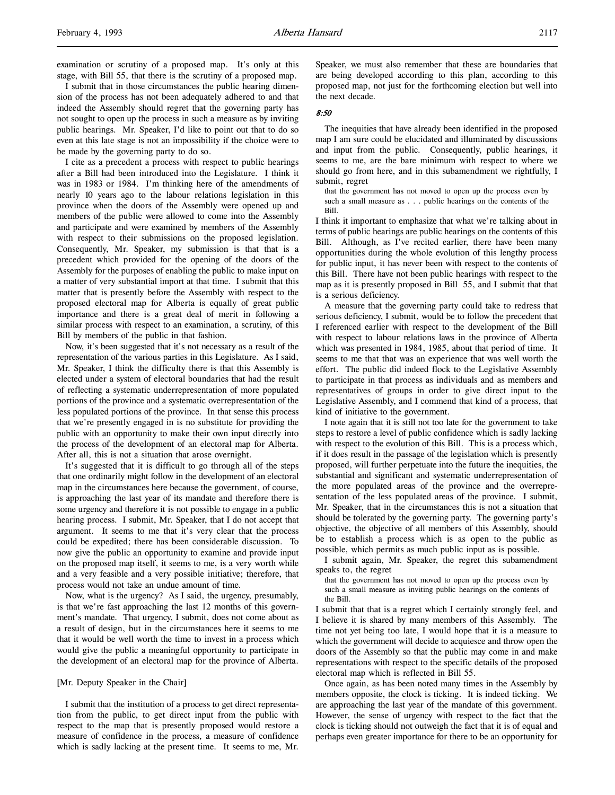examination or scrutiny of a proposed map. It's only at this stage, with Bill 55, that there is the scrutiny of a proposed map.

I submit that in those circumstances the public hearing dimension of the process has not been adequately adhered to and that indeed the Assembly should regret that the governing party has not sought to open up the process in such a measure as by inviting public hearings. Mr. Speaker, I'd like to point out that to do so even at this late stage is not an impossibility if the choice were to be made by the governing party to do so.

I cite as a precedent a process with respect to public hearings after a Bill had been introduced into the Legislature. I think it was in 1983 or 1984. I'm thinking here of the amendments of nearly 10 years ago to the labour relations legislation in this province when the doors of the Assembly were opened up and members of the public were allowed to come into the Assembly and participate and were examined by members of the Assembly with respect to their submissions on the proposed legislation. Consequently, Mr. Speaker, my submission is that that is a precedent which provided for the opening of the doors of the Assembly for the purposes of enabling the public to make input on a matter of very substantial import at that time. I submit that this matter that is presently before the Assembly with respect to the proposed electoral map for Alberta is equally of great public importance and there is a great deal of merit in following a similar process with respect to an examination, a scrutiny, of this Bill by members of the public in that fashion.

Now, it's been suggested that it's not necessary as a result of the representation of the various parties in this Legislature. As I said, Mr. Speaker, I think the difficulty there is that this Assembly is elected under a system of electoral boundaries that had the result of reflecting a systematic underrepresentation of more populated portions of the province and a systematic overrepresentation of the less populated portions of the province. In that sense this process that we're presently engaged in is no substitute for providing the public with an opportunity to make their own input directly into the process of the development of an electoral map for Alberta. After all, this is not a situation that arose overnight.

It's suggested that it is difficult to go through all of the steps that one ordinarily might follow in the development of an electoral map in the circumstances here because the government, of course, is approaching the last year of its mandate and therefore there is some urgency and therefore it is not possible to engage in a public hearing process. I submit, Mr. Speaker, that I do not accept that argument. It seems to me that it's very clear that the process could be expedited; there has been considerable discussion. To now give the public an opportunity to examine and provide input on the proposed map itself, it seems to me, is a very worth while and a very feasible and a very possible initiative; therefore, that process would not take an undue amount of time.

Now, what is the urgency? As I said, the urgency, presumably, is that we're fast approaching the last 12 months of this government's mandate. That urgency, I submit, does not come about as a result of design, but in the circumstances here it seems to me that it would be well worth the time to invest in a process which would give the public a meaningful opportunity to participate in the development of an electoral map for the province of Alberta.

### [Mr. Deputy Speaker in the Chair]

I submit that the institution of a process to get direct representation from the public, to get direct input from the public with respect to the map that is presently proposed would restore a measure of confidence in the process, a measure of confidence which is sadly lacking at the present time. It seems to me, Mr.

Speaker, we must also remember that these are boundaries that are being developed according to this plan, according to this proposed map, not just for the forthcoming election but well into the next decade.

#### 8:50

The inequities that have already been identified in the proposed map I am sure could be elucidated and illuminated by discussions and input from the public. Consequently, public hearings, it seems to me, are the bare minimum with respect to where we should go from here, and in this subamendment we rightfully, I submit, regret

that the government has not moved to open up the process even by such a small measure as . . . public hearings on the contents of the Bill.

I think it important to emphasize that what we're talking about in terms of public hearings are public hearings on the contents of this Bill. Although, as I've recited earlier, there have been many opportunities during the whole evolution of this lengthy process for public input, it has never been with respect to the contents of this Bill. There have not been public hearings with respect to the map as it is presently proposed in Bill 55, and I submit that that is a serious deficiency.

A measure that the governing party could take to redress that serious deficiency, I submit, would be to follow the precedent that I referenced earlier with respect to the development of the Bill with respect to labour relations laws in the province of Alberta which was presented in 1984, 1985, about that period of time. It seems to me that that was an experience that was well worth the effort. The public did indeed flock to the Legislative Assembly to participate in that process as individuals and as members and representatives of groups in order to give direct input to the Legislative Assembly, and I commend that kind of a process, that kind of initiative to the government.

I note again that it is still not too late for the government to take steps to restore a level of public confidence which is sadly lacking with respect to the evolution of this Bill. This is a process which, if it does result in the passage of the legislation which is presently proposed, will further perpetuate into the future the inequities, the substantial and significant and systematic underrepresentation of the more populated areas of the province and the overrepresentation of the less populated areas of the province. I submit, Mr. Speaker, that in the circumstances this is not a situation that should be tolerated by the governing party. The governing party's objective, the objective of all members of this Assembly, should be to establish a process which is as open to the public as possible, which permits as much public input as is possible.

I submit again, Mr. Speaker, the regret this subamendment speaks to, the regret

that the government has not moved to open up the process even by such a small measure as inviting public hearings on the contents of the Bill.

I submit that that is a regret which I certainly strongly feel, and I believe it is shared by many members of this Assembly. The time not yet being too late, I would hope that it is a measure to which the government will decide to acquiesce and throw open the doors of the Assembly so that the public may come in and make representations with respect to the specific details of the proposed electoral map which is reflected in Bill 55.

Once again, as has been noted many times in the Assembly by members opposite, the clock is ticking. It is indeed ticking. We are approaching the last year of the mandate of this government. However, the sense of urgency with respect to the fact that the clock is ticking should not outweigh the fact that it is of equal and perhaps even greater importance for there to be an opportunity for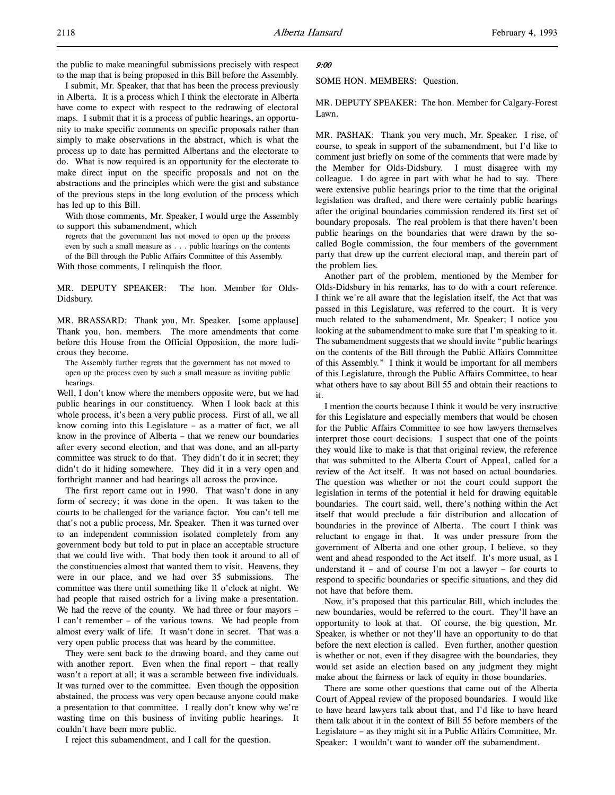the public to make meaningful submissions precisely with respect to the map that is being proposed in this Bill before the Assembly.

I submit, Mr. Speaker, that that has been the process previously in Alberta. It is a process which I think the electorate in Alberta have come to expect with respect to the redrawing of electoral maps. I submit that it is a process of public hearings, an opportunity to make specific comments on specific proposals rather than simply to make observations in the abstract, which is what the process up to date has permitted Albertans and the electorate to do. What is now required is an opportunity for the electorate to make direct input on the specific proposals and not on the abstractions and the principles which were the gist and substance of the previous steps in the long evolution of the process which has led up to this Bill.

With those comments, Mr. Speaker, I would urge the Assembly to support this subamendment, which

regrets that the government has not moved to open up the process even by such a small measure as . . . public hearings on the contents of the Bill through the Public Affairs Committee of this Assembly.

With those comments, I relinquish the floor.

MR. DEPUTY SPEAKER: The hon. Member for Olds-Didsbury.

MR. BRASSARD: Thank you, Mr. Speaker. [some applause] Thank you, hon. members. The more amendments that come before this House from the Official Opposition, the more ludicrous they become.

The Assembly further regrets that the government has not moved to open up the process even by such a small measure as inviting public hearings.

Well, I don't know where the members opposite were, but we had public hearings in our constituency. When I look back at this whole process, it's been a very public process. First of all, we all know coming into this Legislature – as a matter of fact, we all know in the province of Alberta – that we renew our boundaries after every second election, and that was done, and an all-party committee was struck to do that. They didn't do it in secret; they didn't do it hiding somewhere. They did it in a very open and forthright manner and had hearings all across the province.

The first report came out in 1990. That wasn't done in any form of secrecy; it was done in the open. It was taken to the courts to be challenged for the variance factor. You can't tell me that's not a public process, Mr. Speaker. Then it was turned over to an independent commission isolated completely from any government body but told to put in place an acceptable structure that we could live with. That body then took it around to all of the constituencies almost that wanted them to visit. Heavens, they were in our place, and we had over 35 submissions. The committee was there until something like 11 o'clock at night. We had people that raised ostrich for a living make a presentation. We had the reeve of the county. We had three or four mayors -I can't remember – of the various towns. We had people from almost every walk of life. It wasn't done in secret. That was a very open public process that was heard by the committee.

They were sent back to the drawing board, and they came out with another report. Even when the final report – that really wasn't a report at all; it was a scramble between five individuals. It was turned over to the committee. Even though the opposition abstained, the process was very open because anyone could make a presentation to that committee. I really don't know why we're wasting time on this business of inviting public hearings. It couldn't have been more public.

I reject this subamendment, and I call for the question.

#### 9:00

SOME HON. MEMBERS: Question.

MR. DEPUTY SPEAKER: The hon. Member for Calgary-Forest Lawn.

MR. PASHAK: Thank you very much, Mr. Speaker. I rise, of course, to speak in support of the subamendment, but I'd like to comment just briefly on some of the comments that were made by the Member for Olds-Didsbury. I must disagree with my colleague. I do agree in part with what he had to say. There were extensive public hearings prior to the time that the original legislation was drafted, and there were certainly public hearings after the original boundaries commission rendered its first set of boundary proposals. The real problem is that there haven't been public hearings on the boundaries that were drawn by the socalled Bogle commission, the four members of the government party that drew up the current electoral map, and therein part of the problem lies.

Another part of the problem, mentioned by the Member for Olds-Didsbury in his remarks, has to do with a court reference. I think we're all aware that the legislation itself, the Act that was passed in this Legislature, was referred to the court. It is very much related to the subamendment, Mr. Speaker; I notice you looking at the subamendment to make sure that I'm speaking to it. The subamendment suggests that we should invite "public hearings on the contents of the Bill through the Public Affairs Committee of this Assembly." I think it would be important for all members of this Legislature, through the Public Affairs Committee, to hear what others have to say about Bill 55 and obtain their reactions to it.

I mention the courts because I think it would be very instructive for this Legislature and especially members that would be chosen for the Public Affairs Committee to see how lawyers themselves interpret those court decisions. I suspect that one of the points they would like to make is that that original review, the reference that was submitted to the Alberta Court of Appeal, called for a review of the Act itself. It was not based on actual boundaries. The question was whether or not the court could support the legislation in terms of the potential it held for drawing equitable boundaries. The court said, well, there's nothing within the Act itself that would preclude a fair distribution and allocation of boundaries in the province of Alberta. The court I think was reluctant to engage in that. It was under pressure from the government of Alberta and one other group, I believe, so they went and ahead responded to the Act itself. It's more usual, as I understand it – and of course I'm not a lawyer – for courts to respond to specific boundaries or specific situations, and they did not have that before them.

Now, it's proposed that this particular Bill, which includes the new boundaries, would be referred to the court. They'll have an opportunity to look at that. Of course, the big question, Mr. Speaker, is whether or not they'll have an opportunity to do that before the next election is called. Even further, another question is whether or not, even if they disagree with the boundaries, they would set aside an election based on any judgment they might make about the fairness or lack of equity in those boundaries.

There are some other questions that came out of the Alberta Court of Appeal review of the proposed boundaries. I would like to have heard lawyers talk about that, and I'd like to have heard them talk about it in the context of Bill 55 before members of the Legislature – as they might sit in a Public Affairs Committee, Mr. Speaker: I wouldn't want to wander off the subamendment.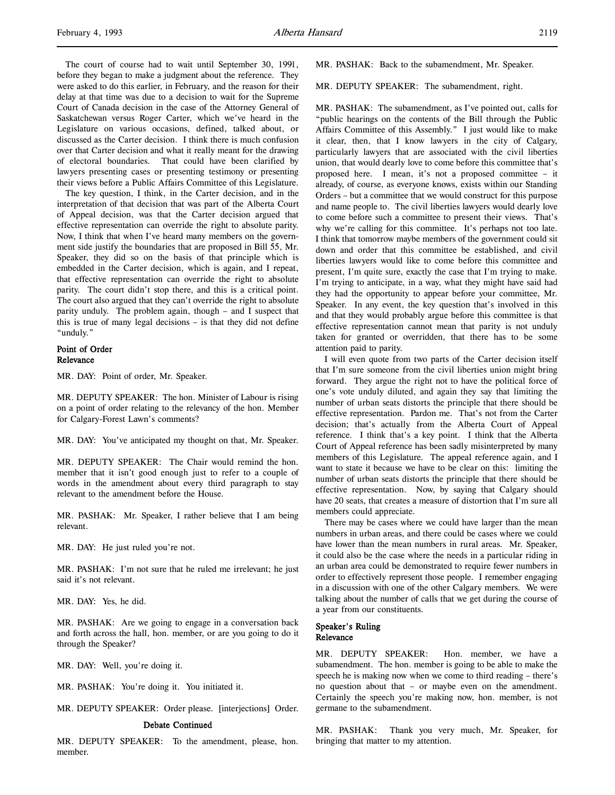The court of course had to wait until September 30, 1991, before they began to make a judgment about the reference. They were asked to do this earlier, in February, and the reason for their delay at that time was due to a decision to wait for the Supreme Court of Canada decision in the case of the Attorney General of Saskatchewan versus Roger Carter, which we've heard in the Legislature on various occasions, defined, talked about, or discussed as the Carter decision. I think there is much confusion over that Carter decision and what it really meant for the drawing of electoral boundaries. That could have been clarified by lawyers presenting cases or presenting testimony or presenting their views before a Public Affairs Committee of this Legislature.

The key question, I think, in the Carter decision, and in the interpretation of that decision that was part of the Alberta Court of Appeal decision, was that the Carter decision argued that effective representation can override the right to absolute parity. Now, I think that when I've heard many members on the government side justify the boundaries that are proposed in Bill 55, Mr. Speaker, they did so on the basis of that principle which is embedded in the Carter decision, which is again, and I repeat, that effective representation can override the right to absolute parity. The court didn't stop there, and this is a critical point. The court also argued that they can't override the right to absolute parity unduly. The problem again, though – and I suspect that this is true of many legal decisions – is that they did not define "unduly."

### Point of Order Relevance

MR. DAY: Point of order, Mr. Speaker.

MR. DEPUTY SPEAKER: The hon. Minister of Labour is rising on a point of order relating to the relevancy of the hon. Member for Calgary-Forest Lawn's comments?

MR. DAY: You've anticipated my thought on that, Mr. Speaker.

MR. DEPUTY SPEAKER: The Chair would remind the hon. member that it isn't good enough just to refer to a couple of words in the amendment about every third paragraph to stay relevant to the amendment before the House.

MR. PASHAK: Mr. Speaker, I rather believe that I am being relevant.

MR. DAY: He just ruled you're not.

MR. PASHAK: I'm not sure that he ruled me irrelevant; he just said it's not relevant.

MR. DAY: Yes, he did.

MR. PASHAK: Are we going to engage in a conversation back and forth across the hall, hon. member, or are you going to do it through the Speaker?

MR. DAY: Well, you're doing it.

MR. PASHAK: You're doing it. You initiated it.

MR. DEPUTY SPEAKER: Order please. [interjections] Order.

#### Debate Continued

MR. DEPUTY SPEAKER: To the amendment, please, hon. member.

MR. PASHAK: Back to the subamendment, Mr. Speaker.

MR. DEPUTY SPEAKER: The subamendment, right.

MR. PASHAK: The subamendment, as I've pointed out, calls for "public hearings on the contents of the Bill through the Public Affairs Committee of this Assembly." I just would like to make it clear, then, that I know lawyers in the city of Calgary, particularly lawyers that are associated with the civil liberties union, that would dearly love to come before this committee that's proposed here. I mean, it's not a proposed committee – it already, of course, as everyone knows, exists within our Standing Orders – but a committee that we would construct for this purpose and name people to. The civil liberties lawyers would dearly love to come before such a committee to present their views. That's why we're calling for this committee. It's perhaps not too late. I think that tomorrow maybe members of the government could sit down and order that this committee be established, and civil liberties lawyers would like to come before this committee and present, I'm quite sure, exactly the case that I'm trying to make. I'm trying to anticipate, in a way, what they might have said had they had the opportunity to appear before your committee, Mr. Speaker. In any event, the key question that's involved in this and that they would probably argue before this committee is that effective representation cannot mean that parity is not unduly taken for granted or overridden, that there has to be some attention paid to parity.

I will even quote from two parts of the Carter decision itself that I'm sure someone from the civil liberties union might bring forward. They argue the right not to have the political force of one's vote unduly diluted, and again they say that limiting the number of urban seats distorts the principle that there should be effective representation. Pardon me. That's not from the Carter decision; that's actually from the Alberta Court of Appeal reference. I think that's a key point. I think that the Alberta Court of Appeal reference has been sadly misinterpreted by many members of this Legislature. The appeal reference again, and I want to state it because we have to be clear on this: limiting the number of urban seats distorts the principle that there should be effective representation. Now, by saying that Calgary should have 20 seats, that creates a measure of distortion that I'm sure all members could appreciate.

There may be cases where we could have larger than the mean numbers in urban areas, and there could be cases where we could have lower than the mean numbers in rural areas. Mr. Speaker, it could also be the case where the needs in a particular riding in an urban area could be demonstrated to require fewer numbers in order to effectively represent those people. I remember engaging in a discussion with one of the other Calgary members. We were talking about the number of calls that we get during the course of a year from our constituents.

### Speaker's Ruling Relevance

MR. DEPUTY SPEAKER: Hon. member, we have a subamendment. The hon. member is going to be able to make the speech he is making now when we come to third reading – there's no question about that – or maybe even on the amendment. Certainly the speech you're making now, hon. member, is not germane to the subamendment.

MR. PASHAK: Thank you very much, Mr. Speaker, for bringing that matter to my attention.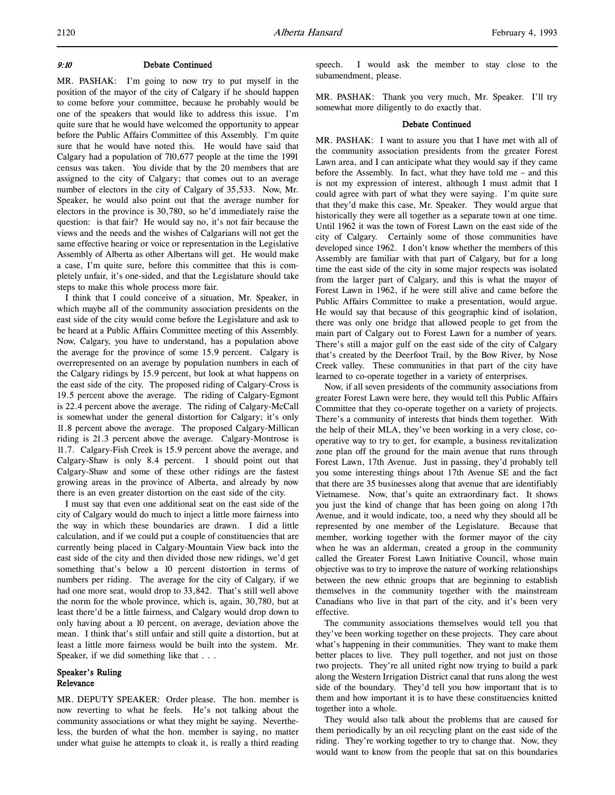#### 9:10 Debate Continued

MR. PASHAK: I'm going to now try to put myself in the position of the mayor of the city of Calgary if he should happen to come before your committee, because he probably would be one of the speakers that would like to address this issue. I'm quite sure that he would have welcomed the opportunity to appear before the Public Affairs Committee of this Assembly. I'm quite sure that he would have noted this. He would have said that Calgary had a population of 710,677 people at the time the 1991 census was taken. You divide that by the 20 members that are assigned to the city of Calgary; that comes out to an average number of electors in the city of Calgary of 35,533. Now, Mr. Speaker, he would also point out that the average number for electors in the province is 30,780, so he'd immediately raise the question: is that fair? He would say no, it's not fair because the views and the needs and the wishes of Calgarians will not get the same effective hearing or voice or representation in the Legislative Assembly of Alberta as other Albertans will get. He would make a case, I'm quite sure, before this committee that this is completely unfair, it's one-sided, and that the Legislature should take steps to make this whole process more fair.

I think that I could conceive of a situation, Mr. Speaker, in which maybe all of the community association presidents on the east side of the city would come before the Legislature and ask to be heard at a Public Affairs Committee meeting of this Assembly. Now, Calgary, you have to understand, has a population above the average for the province of some 15.9 percent. Calgary is overrepresented on an average by population numbers in each of the Calgary ridings by 15.9 percent, but look at what happens on the east side of the city. The proposed riding of Calgary-Cross is 19.5 percent above the average. The riding of Calgary-Egmont is 22.4 percent above the average. The riding of Calgary-McCall is somewhat under the general distortion for Calgary; it's only 11.8 percent above the average. The proposed Calgary-Millican riding is 21.3 percent above the average. Calgary-Montrose is 11.7. Calgary-Fish Creek is 15.9 percent above the average, and Calgary-Shaw is only 8.4 percent. I should point out that Calgary-Shaw and some of these other ridings are the fastest growing areas in the province of Alberta, and already by now there is an even greater distortion on the east side of the city.

I must say that even one additional seat on the east side of the city of Calgary would do much to inject a little more fairness into the way in which these boundaries are drawn. I did a little calculation, and if we could put a couple of constituencies that are currently being placed in Calgary-Mountain View back into the east side of the city and then divided those new ridings, we'd get something that's below a 10 percent distortion in terms of numbers per riding. The average for the city of Calgary, if we had one more seat, would drop to 33,842. That's still well above the norm for the whole province, which is, again, 30,780, but at least there'd be a little fairness, and Calgary would drop down to only having about a 10 percent, on average, deviation above the mean. I think that's still unfair and still quite a distortion, but at least a little more fairness would be built into the system. Mr. Speaker, if we did something like that . . .

# Speaker's Ruling Relevance

MR. DEPUTY SPEAKER: Order please. The hon. member is now reverting to what he feels. He's not talking about the community associations or what they might be saying. Nevertheless, the burden of what the hon. member is saying, no matter under what guise he attempts to cloak it, is really a third reading

speech. I would ask the member to stay close to the subamendment, please.

MR. PASHAK: Thank you very much, Mr. Speaker. I'll try somewhat more diligently to do exactly that.

#### Debate Continued

MR. PASHAK: I want to assure you that I have met with all of the community association presidents from the greater Forest Lawn area, and I can anticipate what they would say if they came before the Assembly. In fact, what they have told me – and this is not my expression of interest, although I must admit that I could agree with part of what they were saying. I'm quite sure that they'd make this case, Mr. Speaker. They would argue that historically they were all together as a separate town at one time. Until 1962 it was the town of Forest Lawn on the east side of the city of Calgary. Certainly some of those communities have developed since 1962. I don't know whether the members of this Assembly are familiar with that part of Calgary, but for a long time the east side of the city in some major respects was isolated from the larger part of Calgary, and this is what the mayor of Forest Lawn in 1962, if he were still alive and came before the Public Affairs Committee to make a presentation, would argue. He would say that because of this geographic kind of isolation, there was only one bridge that allowed people to get from the main part of Calgary out to Forest Lawn for a number of years. There's still a major gulf on the east side of the city of Calgary that's created by the Deerfoot Trail, by the Bow River, by Nose Creek valley. These communities in that part of the city have learned to co-operate together in a variety of enterprises.

Now, if all seven presidents of the community associations from greater Forest Lawn were here, they would tell this Public Affairs Committee that they co-operate together on a variety of projects. There's a community of interests that binds them together. With the help of their MLA, they've been working in a very close, cooperative way to try to get, for example, a business revitalization zone plan off the ground for the main avenue that runs through Forest Lawn, 17th Avenue. Just in passing, they'd probably tell you some interesting things about 17th Avenue SE and the fact that there are 35 businesses along that avenue that are identifiably Vietnamese. Now, that's quite an extraordinary fact. It shows you just the kind of change that has been going on along 17th Avenue, and it would indicate, too, a need why they should all be represented by one member of the Legislature. Because that member, working together with the former mayor of the city when he was an alderman, created a group in the community called the Greater Forest Lawn Initiative Council, whose main objective was to try to improve the nature of working relationships between the new ethnic groups that are beginning to establish themselves in the community together with the mainstream Canadians who live in that part of the city, and it's been very effective.

The community associations themselves would tell you that they've been working together on these projects. They care about what's happening in their communities. They want to make them better places to live. They pull together, and not just on those two projects. They're all united right now trying to build a park along the Western Irrigation District canal that runs along the west side of the boundary. They'd tell you how important that is to them and how important it is to have these constituencies knitted together into a whole.

They would also talk about the problems that are caused for them periodically by an oil recycling plant on the east side of the riding. They're working together to try to change that. Now, they would want to know from the people that sat on this boundaries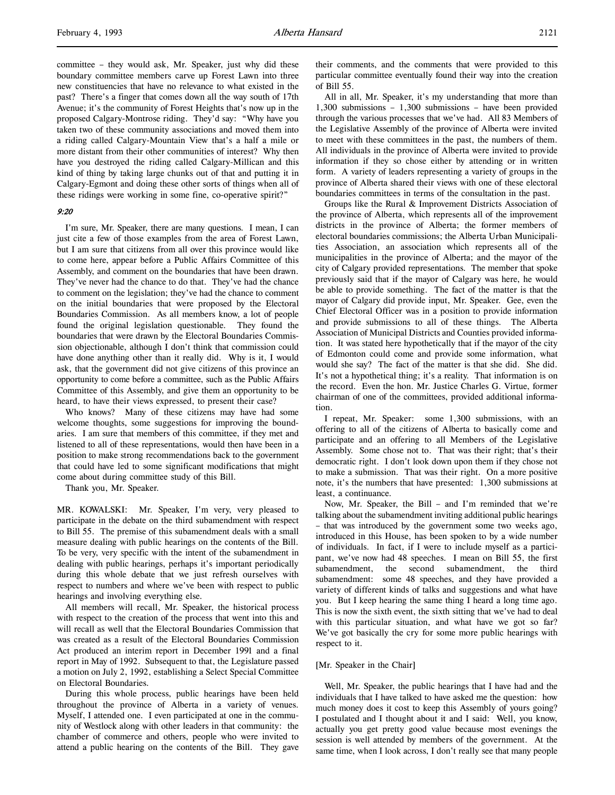committee – they would ask, Mr. Speaker, just why did these boundary committee members carve up Forest Lawn into three new constituencies that have no relevance to what existed in the past? There's a finger that comes down all the way south of 17th Avenue; it's the community of Forest Heights that's now up in the proposed Calgary-Montrose riding. They'd say: "Why have you taken two of these community associations and moved them into a riding called Calgary-Mountain View that's a half a mile or more distant from their other communities of interest? Why then have you destroyed the riding called Calgary-Millican and this kind of thing by taking large chunks out of that and putting it in Calgary-Egmont and doing these other sorts of things when all of these ridings were working in some fine, co-operative spirit?"

#### 9:20

I'm sure, Mr. Speaker, there are many questions. I mean, I can just cite a few of those examples from the area of Forest Lawn, but I am sure that citizens from all over this province would like to come here, appear before a Public Affairs Committee of this Assembly, and comment on the boundaries that have been drawn. They've never had the chance to do that. They've had the chance to comment on the legislation; they've had the chance to comment on the initial boundaries that were proposed by the Electoral Boundaries Commission. As all members know, a lot of people found the original legislation questionable. They found the boundaries that were drawn by the Electoral Boundaries Commission objectionable, although I don't think that commission could have done anything other than it really did. Why is it, I would ask, that the government did not give citizens of this province an opportunity to come before a committee, such as the Public Affairs Committee of this Assembly, and give them an opportunity to be heard, to have their views expressed, to present their case?

Who knows? Many of these citizens may have had some welcome thoughts, some suggestions for improving the boundaries. I am sure that members of this committee, if they met and listened to all of these representations, would then have been in a position to make strong recommendations back to the government that could have led to some significant modifications that might come about during committee study of this Bill.

Thank you, Mr. Speaker.

MR. KOWALSKI: Mr. Speaker, I'm very, very pleased to participate in the debate on the third subamendment with respect to Bill 55. The premise of this subamendment deals with a small measure dealing with public hearings on the contents of the Bill. To be very, very specific with the intent of the subamendment in dealing with public hearings, perhaps it's important periodically during this whole debate that we just refresh ourselves with respect to numbers and where we've been with respect to public hearings and involving everything else.

All members will recall, Mr. Speaker, the historical process with respect to the creation of the process that went into this and will recall as well that the Electoral Boundaries Commission that was created as a result of the Electoral Boundaries Commission Act produced an interim report in December 1991 and a final report in May of 1992. Subsequent to that, the Legislature passed a motion on July 2, 1992, establishing a Select Special Committee on Electoral Boundaries.

During this whole process, public hearings have been held throughout the province of Alberta in a variety of venues. Myself, I attended one. I even participated at one in the community of Westlock along with other leaders in that community: the chamber of commerce and others, people who were invited to attend a public hearing on the contents of the Bill. They gave

their comments, and the comments that were provided to this particular committee eventually found their way into the creation of Bill 55.

All in all, Mr. Speaker, it's my understanding that more than 1,300 submissions – 1,300 submissions – have been provided through the various processes that we've had. All 83 Members of the Legislative Assembly of the province of Alberta were invited to meet with these committees in the past, the numbers of them. All individuals in the province of Alberta were invited to provide information if they so chose either by attending or in written form. A variety of leaders representing a variety of groups in the province of Alberta shared their views with one of these electoral boundaries committees in terms of the consultation in the past.

Groups like the Rural & Improvement Districts Association of the province of Alberta, which represents all of the improvement districts in the province of Alberta; the former members of electoral boundaries commissions; the Alberta Urban Municipalities Association, an association which represents all of the municipalities in the province of Alberta; and the mayor of the city of Calgary provided representations. The member that spoke previously said that if the mayor of Calgary was here, he would be able to provide something. The fact of the matter is that the mayor of Calgary did provide input, Mr. Speaker. Gee, even the Chief Electoral Officer was in a position to provide information and provide submissions to all of these things. The Alberta Association of Municipal Districts and Counties provided information. It was stated here hypothetically that if the mayor of the city of Edmonton could come and provide some information, what would she say? The fact of the matter is that she did. She did. It's not a hypothetical thing; it's a reality. That information is on the record. Even the hon. Mr. Justice Charles G. Virtue, former chairman of one of the committees, provided additional information.

I repeat, Mr. Speaker: some 1,300 submissions, with an offering to all of the citizens of Alberta to basically come and participate and an offering to all Members of the Legislative Assembly. Some chose not to. That was their right; that's their democratic right. I don't look down upon them if they chose not to make a submission. That was their right. On a more positive note, it's the numbers that have presented: 1,300 submissions at least, a continuance.

Now, Mr. Speaker, the Bill – and I'm reminded that we're talking about the subamendment inviting additional public hearings – that was introduced by the government some two weeks ago, introduced in this House, has been spoken to by a wide number of individuals. In fact, if I were to include myself as a participant, we've now had 48 speeches. I mean on Bill 55, the first subamendment, the second subamendment, the third subamendment: some 48 speeches, and they have provided a variety of different kinds of talks and suggestions and what have you. But I keep hearing the same thing I heard a long time ago. This is now the sixth event, the sixth sitting that we've had to deal with this particular situation, and what have we got so far? We've got basically the cry for some more public hearings with respect to it.

#### [Mr. Speaker in the Chair]

Well, Mr. Speaker, the public hearings that I have had and the individuals that I have talked to have asked me the question: how much money does it cost to keep this Assembly of yours going? I postulated and I thought about it and I said: Well, you know, actually you get pretty good value because most evenings the session is well attended by members of the government. At the same time, when I look across, I don't really see that many people